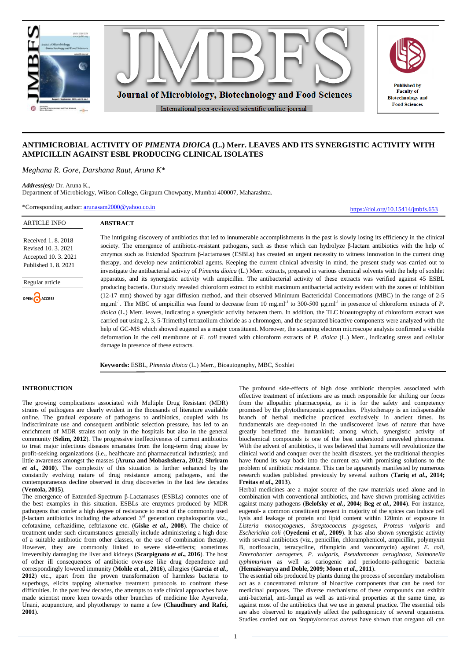

# **ANTIMICROBIAL ACTIVITY OF** *PIMENTA DIOICA* **(L.) Merr. LEAVES AND ITS SYNERGISTIC ACTIVITY WITH AMPICILLIN AGAINST ESBL PRODUCING CLINICAL ISOLATES**

*Meghana R. Gore, Darshana Raut, Aruna K\** 

*Address(es):* Dr. Aruna K.,

**ARTICLE INFO** 

Regular article

OPEN CACCESS

Received 1. 8. 2018 Revised 10. 3. 2021 Accepted 10. 3. 2021 Published 1. 8. 2021

Department of Microbiology, Wilson College, Girgaum Chowpatty, Mumbai 400007, Maharashtra.

\*Corresponding author: [arunasam2000@yahoo.co.in](mailto:arunasam2000@yahoo.co.in)

**ABSTRACT** The intriguing discovery of antibiotics that led to innumerable accomplishments in the past is slowly losing its efficiency in the clinical society. The emergence of antibiotic-resistant pathogens, such as those which can hydrolyze β-lactam antibiotics with the help of enzymes such as Extended Spectrum β-lactamases (ESBLs) has created an urgent necessity to witness innovation in the current drug therapy, and develop new antimicrobial agents. Keeping the current clinical adversity in mind, the present study was carried out to investigate the antibacterial activity of *Pimenta dioica* (L.) Merr. extracts, prepared in various chemical solvents with the help of soxhlet apparatus, and its synergistic activity with ampicillin. The antibacterial activity of these extracts was verified against 45 ESBL producing bacteria. Our study revealed chloroform extract to exhibit maximum antibacterial activity evident with the zones of inhibition (12-17 mm) showed by agar diffusion method, and their observed Minimum Bactericidal Concentrations (MBC) in the range of 2-5 mg.ml<sup>-1</sup>. The MBC of ampicillin was found to decrease from 10 mg.ml<sup>-1</sup> to 300-500 µg.ml<sup>-1</sup> in presence of chloroform extracts of *P*. *dioica* (L.) Merr. leaves, indicating a synergistic activity between them. In addition, the TLC bioautography of chloroform extract was carried out using 2, 3, 5-Trimethyl tetrazolium chloride as a chromogen, and the separated bioactive components were analyzed with the help of GC-MS which showed eugenol as a major constituent. Moreover, the scanning electron microscope analysis confirmed a visible deformation in the cell membrane of *E. coli* treated with chloroform extracts of *P. dioica* (L.) Merr., indicating stress and cellular damage in presence of these extracts.

**Keywords:** ESBL, *Pimenta dioica* (L.) Merr., Bioautography, MBC, Soxhlet

# **INTRODUCTION**

The growing complications associated with Multiple Drug Resistant (MDR) strains of pathogens are clearly evident in the thousands of literature available online. The gradual exposure of pathogens to antibiotics, coupled with its indiscriminate use and consequent antibiotic selection pressure, has led to an enrichment of MDR strains not only in the hospitals but also in the general community (**Selim, 2012**). The progressive ineffectiveness of current antibiotics to treat major infectious diseases emanates from the long-term drug abuse by profit-seeking organizations (i.e., healthcare and pharmaceutical industries); and little awareness amongst the masses (**Aruna and Mobashshera, 2012; Shriram**  *et al***., 2010**). The complexity of this situation is further enhanced by the constantly evolving nature of drug resistance among pathogens, and the contemporaneous decline observed in drug discoveries in the last few decades (**Ventola, 2015**).

The emergence of Extended-Spectrum β-Lactamases (ESBLs) connotes one of the best examples in this situation. ESBLs are enzymes produced by MDR pathogens that confer a high degree of resistance to most of the commonly used  $β$ -lactam antibiotics including the advanced  $3<sup>rd</sup>$  generation cephalosporins viz., cefotaxime, ceftazidime, ceftriaxone etc. (**[Giske](http://aac.asm.org/search?author1=Christian+G.+Giske&sortspec=date&submit=Submit)** *et al***., 2008**). The choice of treatment under such circumstances generally include administering a high dose of a suitable antibiotic from other classes, or the use of combination therapy. However, they are commonly linked to severe side-effects; sometimes irreversibly damaging the liver and kidneys (**Scarpignato** *et al***., 2016**). The host of other ill consequences of antibiotic over-use like drug dependence and correspondingly lowered immunity (**Mohle** *et al***., 2016**), allergies (**Garcia** *et al***., 2012**) etc., apart from the proven transformation of harmless bacteria to superbugs, elicits tapping alternative treatment protocols to confront these difficulties. In the past few decades, the attempts to safe clinical approaches have made scientist more keen towards other branches of medicine like Ayurveda, Unani, acupuncture, and phytotherapy to name a few (**Chaudhury and Rafei, 2001**).

The profound side-effects of high dose antibiotic therapies associated with effective treatment of infections are as much responsible for shifting our focus from the allopathic pharmacopeia, as it is for the safety and competency promised by the phytotherapeutic approaches. Phytotherapy is an indispensable branch of herbal medicine practiced exclusively in ancient times. Its fundamentals are deep-rooted in the undiscovered laws of nature that have greatly benefitted the humankind; among which, synergistic activity of biochemical compounds is one of the best understood unraveled phenomena. With the advent of antibiotics, it was believed that humans will revolutionize the clinical world and conquer over the health disasters, yet the traditional therapies have found its way back into the current era with promising solutions to the problem of antibiotic resistance. This can be apparently manifested by numerous research studies published previously by several authors (**Tariq** *et al***., 2014; Freitas** *et al***., 2013**).

<https://doi.org/10.15414/jmbfs.653>

Herbal medicines are a major source of the raw materials used alone and in combination with conventional antibiotics, and have shown promising activities against many pathogens (**Belofsky** *et al***., 2004; Beg** *et al***., 2004**). For instance, eugenol- a common constituent present in majority of the spices can induce cell lysis and leakage of protein and lipid content within 120min of exposure in *Listeria monocytogenes*, *Streptococcus pyogenes*, *Proteus vulgaris* and *Escherichia coli* (**Oyedemi** *et al***., 2009**). It has also shown synergistic activity with several antibiotics (viz., penicillin, chloramphenicol, ampicillin, polymyxin B, norfloxacin, tetracycline, rifampicin and vancomycin) against *E. coli, Enterobacter aerogenes, P. vulgaris, Pseudomonas aeruginosa, Salmonella typhimurium* as well as cariogenic and periodonto-pathogenic bacteria (**Hemaiswarya and Doble, 2009; Moon** *et al***., 2011**).

The essential oils produced by plants during the process of secondary metabolism act as a concentrated mixture of bioactive components that can be used for medicinal purposes. The diverse mechanisms of these compounds can exhibit anti-bacterial, anti-fungal as well as anti-viral properties at the same time, as against most of the antibiotics that we use in general practice. The essential oils are also observed to negatively affect the pathogenicity of several organisms. Studies carried out on *Staphylococcus aureus* have shown that oregano oil can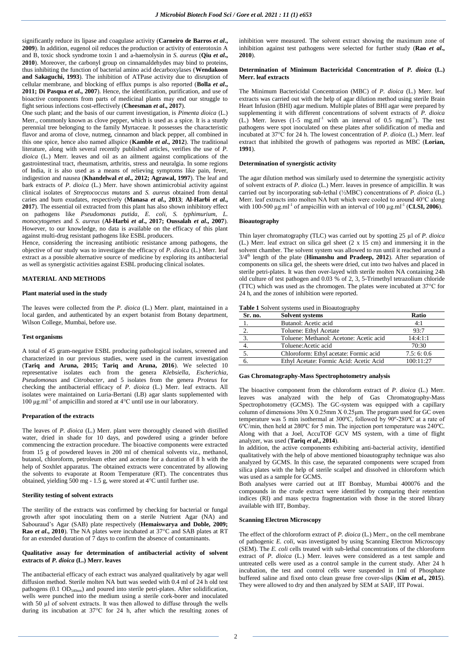significantly reduce its lipase and coagulase activity (**Carneiro de Barros** *et al***., 2009**). In addition, eugenol oil reduces the production or activity of enterotoxin A and B, toxic shock syndrome toxin 1 and a-haemolysin in *S. aureus* (**Qiu** *et al***., 2010**). Moreover, the carbonyl group on cinnamaldehydes may bind to proteins, thus inhibiting the function of bacterial amino acid decarboxylases (**Wendakoon and Sakaguchi, 1993**). The inhibition of ATPase activity due to disruption of cellular membrane, and blocking of efflux pumps is also reported (**Bolla** *et al***., 2011; Di Pasqua** *et al***., 2007**). Hence, the identification, purification, and use of bioactive components from parts of medicinal plants may end our struggle to fight serious infections cost-effectively (**Cheesman** *et al***., 2017**).

One such plant; and the basis of our current investigation, is *Pimenta dioica* (L.) Merr., commonly known as clove pepper, which is used as a spice*.* It is a sturdy perennial tree belonging to the family Myrtaceae. It possesses the characteristic flavor and aroma of clove, nutmeg, cinnamon and black pepper, all combined in this one spice, hence also named allspice (**Kamble** *et al***., 2012**). The traditional literature, along with several recently published articles, verifies the use of *P. dioica* (L.) Merr. leaves and oil as an ailment against complications of the gastrointestinal tract, rheumatism, arthritis, stress and neuralgia. In some regions of India, it is also used as a means of relieving symptoms like pain, fever, indigestion and nausea (**Khandelwal** *et al***., 2012; Agrawal, 1997**). The leaf and bark extracts of *P. dioica* (L.) Merr. have shown antimicrobial activity against clinical isolates of *Streptococcus mutans* and *S. aureus* obtained from dental caries and burn exudates, respectively (**Manasa** *et al***., 2013**; **Al-Harbi** *et al***., 2017**). The essential oil extracted from this plant has also shown inhibitory effect on pathogens like *Pseudomonas putida*, *E. coli*, *S. typhimurium*, *L. monocytogenes* and *S. aureus* (**Al-Harbi** *et al***., 2017; Oussalah** *et al***., 2007**). However, to our knowledge, no data is available on the efficacy of this plant against multi-drug resistant pathogens like ESBL producers.

Hence, considering the increasing antibiotic resistance among pathogens, the objective of our study was to investigate the efficacy of *P. dioica* (L.) Merr. leaf extract as a possible alternative source of medicine by exploring its antibacterial as well as synergistic activities against ESBL producing clinical isolates.

# **MATERIAL AND METHODS**

#### **Plant material used in the study**

The leaves were collected from the *P. dioica* (L.) Merr. plant, maintained in a local garden, and authenticated by an expert botanist from Botany department, Wilson College, Mumbai, before use.

## **Test organisms**

A total of 45 gram-negative ESBL producing pathological isolates, screened and characterized in our previous studies, were used in the current investigation (**Tariq and Aruna, 2015; Tariq and Aruna, 2016**). We selected 10 representative isolates each from the genera *Klebsiella*, *Escherichia*, *Pseudomonas* and *Citrobacter*, and 5 isolates from the genera *Proteus* for checking the antibacterial efficacy of *P. dioica* (L.) Merr. leaf extracts. All isolates were maintained on Luria-Bertani (LB) agar slants supplemented with 100 μg.ml-1 of ampicillin and stored at 4°C until use in our laboratory.

## **Preparation of the extracts**

The leaves of *P. dioica* (L.) Merr. plant were thoroughly cleaned with distilled water, dried in shade for 10 days, and powdered using a grinder before commencing the extraction procedure. The bioactive components were extracted from 15 g of powdered leaves in 200 ml of chemical solvents viz., methanol, butanol, chloroform, petroleum ether and acetone for a duration of 8 h with the help of Soxhlet apparatus. The obtained extracts were concentrated by allowing the solvents to evaporate at Room Temperature (RT). The concentrates thus obtained, yielding 500 mg - 1.5 g, were stored at 4°C until further use.

# **Sterility testing of solvent extracts**

The sterility of the extracts was confirmed by checking for bacterial or fungal growth after spot inoculating them on a sterile Nutrient Agar (NA) and Sabouraud's Agar (SAB) plate respectively (**Hemaiswarya and Doble, 2009; Rao** *et al***., 2010**). The NA plates were incubated at 37°C and SAB plates at RT for an extended duration of 7 days to confirm the absence of contaminants.

# **Qualitative assay for determination of antibacterial activity of solvent extracts of** *P. dioica* **(L.) Merr. leaves**

The antibacterial efficacy of each extract was analyzed qualitatively by agar well diffusion method. Sterile molten NA butt was seeded with 0.4 ml of 24 h old test pathogens (0.1 OD<sub>540nm</sub>) and poured into sterile petri-plates. After solidification, wells were punched into the medium using a sterile cork-borer and inoculated with 50  $\mu$ l of solvent extracts. It was then allowed to diffuse through the wells during its incubation at 37°C for 24 h, after which the resulting zones of

inhibition were measured. The solvent extract showing the maximum zone of inhibition against test pathogens were selected for further study (**Rao** *et al***., 2010**).

### **Determination of Minimum Bactericidal Concentration of** *P. dioica* **(L.) Merr. leaf extracts**

The Minimum Bactericidal Concentration (MBC) of *P. dioica* (L.) Merr. leaf extracts was carried out with the help of agar dilution method using sterile Brain Heart Infusion (BHI) agar medium. Multiple plates of BHI agar were prepared by supplementing it with different concentrations of solvent extracts of *P. dioica*  $(L)$  Merr. leaves  $(1-5 \text{ mg.m}^{-1})$  with an interval of 0.5 mg.ml<sup>-1</sup>). The test pathogens were spot inoculated on these plates after solidification of media and incubated at 37°C for 24 h. The lowest concentration of *P. dioica* (L.) Merr. leaf extract that inhibited the growth of pathogens was reported as MBC (**Lorian, 1991**).

### **Determination of synergistic activity**

The agar dilution method was similarly used to determine the synergistic activity of solvent extracts of *P. dioica* (L.) Merr. leaves in presence of ampicillin. It was carried out by incorporating sub-lethal (½MBC) concentrations of *P. dioica* (L.) Merr. leaf extracts into molten NA butt which were cooled to around 40°C along with 100-500  $\mu$ g.ml<sup>-1</sup> of ampicillin with an interval of 100  $\mu$ g.ml<sup>-1</sup> (**CLSI, 2006**).

## **Bioautography**

Thin layer chromatography (TLC) was carried out by spotting 25 µl of *P. dioica* (L.) Merr. leaf extract on silica gel sheet (2 x 15 cm) and immersing it in the solvent chamber. The solvent system was allowed to run until it reached around a  $3/4^{\text{th}}$  length of the plate (**Himanshu and Pradeep, 2012**). After separation of components on silica gel, the sheets were dried, cut into two halves and placed in sterile petri-plates. It was then over-layed with sterile molten NA containing 24h old culture of test pathogen and 0.03 % of 2, 3, 5-Trimethyl tetrazolium chloride (TTC) which was used as the chromogen. The plates were incubated at 37°C for 24 h, and the zones of inhibition were reported.

|  | Table 1 Solvent systems used in Bioautography |  |  |  |  |  |
|--|-----------------------------------------------|--|--|--|--|--|
|--|-----------------------------------------------|--|--|--|--|--|

| Sr. no. | <b>Solvent systems</b>                  | Ratio     |
|---------|-----------------------------------------|-----------|
|         | Butanol: Acetic acid                    | 4:1       |
|         | Toluene: Ethyl Acetate                  | 93.7      |
|         | Toluene: Methanol: Acetone: Acetic acid | 14:4:1:1  |
|         | Toluene: Acetic acid                    | 70:30     |
| 5.      | Chloroform: Ethyl acetate: Formic acid  | 7.5:6:0.6 |
|         | Ethyl Acetate: Formic Acid: Acetic Acid | 100.11.27 |

# **Gas Chromatography-Mass Spectrophotometry analysis**

The bioactive component from the chloroform extract of *P. dioica* (L.) Merr. leaves was analyzed with the help of Gas Chromatography-Mass Spectrophotometry (GCMS). The GC-system was equipped with a capillary column of dimensions  $30m \times 0.25mm \times 0.25 \mu m$ . The program used for GC oven temperature was 5 min isothermal at 300ºC, followed by 90º-280ºC at a rate of 6ºC/min, then held at 280ºC for 5 min. The injection port temperature was 240ºC. Along with that a Joel, AccuTOF GCV MS system, with a time of flight analyzer, was used (**Tariq** *et al***., 2014**).

In addition, the active components exhibiting anti-bacterial activity, identified qualitatively with the help of above mentioned bioautography technique was also analyzed by GCMS. In this case, the separated components were scraped from silica plates with the help of sterile scalpel and dissolved in chloroform which was used as a sample for GCMS.

Both analyses were carried out at IIT Bombay, Mumbai 400076 and the compounds in the crude extract were identified by comparing their retention indices (RI) and mass spectra fragmentation with those in the stored library available with IIT, Bombay.

#### **Scanning Electron Microscopy**

The effect of the chloroform extract of *P. dioica* (L.) Merr., on the cell membrane of pathogenic *E. coli*, was investigated by using Scanning Electron Microscopy (SEM). The *E. coli* cells treated with sub-lethal concentrations of the chloroform extract of *P. dioica* (L.) Merr. leaves were considered as a test sample and untreated cells were used as a control sample in the current study. After 24 h incubation, the test and control cells were suspended in 1ml of Phosphate buffered saline and fixed onto clean grease free cover-slips (**Kim** *et al***., 2015**). They were allowed to dry and then analyzed by SEM at SAIF, IIT Powai.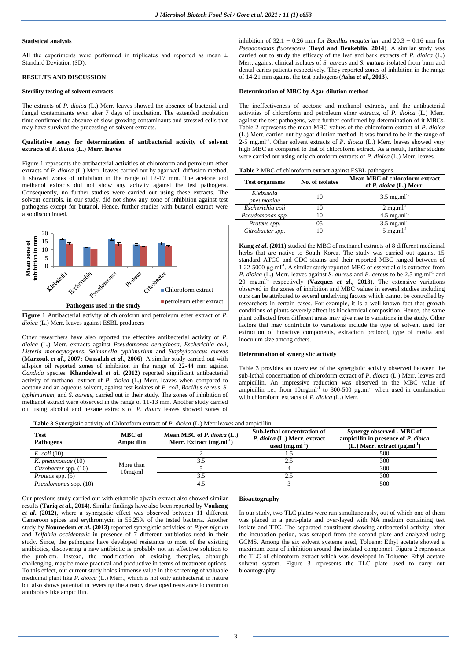#### **Statistical analysis**

All the experiments were performed in triplicates and reported as mean  $\pm$ Standard Deviation (SD).

# **RESULTS AND DISCUSSION**

### **Sterility testing of solvent extracts**

The extracts of *P. dioica* (L.) Merr. leaves showed the absence of bacterial and fungal contaminants even after 7 days of incubation. The extended incubation time confirmed the absence of slow-growing contaminants and stressed cells that may have survived the processing of solvent extracts.

## **Qualitative assay for determination of antibacterial activity of solvent extracts of** *P. dioica* **(L.) Merr. leaves**

Figure 1 represents the antibacterial activities of chloroform and petroleum ether extracts of *P. dioica* (L.) Merr. leaves carried out by agar well diffusion method. It showed zones of inhibition in the range of 12-17 mm. The acetone and methanol extracts did not show any activity against the test pathogens. Consequently, no further studies were carried out using these extracts. The solvent controls, in our study, did not show any zone of inhibition against test pathogens except for butanol. Hence, further studies with butanol extract were also discontinued.



**Figure 1** Antibacterial activity of chloroform and petroleum ether extract of *P. dioica* (L.) Merr. leaves against ESBL producers

Other researchers have also reported the effective antibacterial activity of *P. dioica* (L.) Merr. extracts against *Pseudomonas aeruginosa, Escherichia coli*, *Listeria monocytogenes*, *Salmonella typhimurium* and *Staphylococcus aureus* (**Marzouk** *et al***., 2007; Oussalah** *et al***., 2006**). A similar study carried out with allspice oil reported zones of inhibition in the range of 22-44 mm against *Candida* species. **Khandelwal** *et al***. (2012)** reported significant antibacterial activity of methanol extract of *P. dioica* (L.) Merr. leaves when compared to acetone and an aqueous solvent, against test isolates of *E. coli*, *Bacillus cereus*, *S. typhimurium*, and *S. aureus*, carried out in their study. The zones of inhibition of methanol extract were observed in the range of 11-13 mm. Another study carried out using alcohol and hexane extracts of *P. dioica* leaves showed zones of

inhibition of  $32.1 \pm 0.26$  mm for *Bacillus megaterium* and  $20.3 \pm 0.16$  mm for *Pseudomonas fluorescens* (**Boyd and Benkeblia, 2014**). A similar study was carried out to study the efficacy of the leaf and bark extracts of *P. dioica* (L.) Merr. against clinical isolates of *S. aureus* and *S. mutans* isolated from burn and dental caries patients respectively. They reported zones of inhibition in the range of 14-21 mm against the test pathogens (**Asha** *et al***., 2013**).

# **Determination of MBC by Agar dilution method**

The ineffectiveness of acetone and methanol extracts, and the antibacterial activities of chloroform and petroleum ether extracts, of *P. dioica* (L.) Merr. against the test pathogens, were further confirmed by determination of it MBCs. Table 2 represents the mean MBC values of the chloroform extract of *P. dioica* (L.) Merr. carried out by agar dilution method. It was found to be in the range of 2-5 mg.ml<sup>-1</sup>. Other solvent extracts of *P. dioica* (L.) Merr. leaves showed very high MBC as compared to that of chloroform extract. As a result, further studies were carried out using only chloroform extracts of *P. dioica* (L.) Merr. leaves.

| <b>Test organisms</b>    | No. of isolates | Mean MBC of chloroform extract<br>of P. dioica (L.) Merr. |
|--------------------------|-----------------|-----------------------------------------------------------|
| Klebsiella<br>pneumoniae | 10              | $3.5 \text{ mg.ml}^{-1}$                                  |
| Escherichia coli         | 10              | $2 \text{ mg.ml}^{-1}$                                    |
| Pseudomonas spp.         | 10              | $4.5 \text{ mg.ml}^{-1}$                                  |
| Proteus spp.             | 05              | $3.5 \text{ mg.ml}^{-1}$                                  |
| Citrobacter spp.         | 10              | $5 \text{ mg.ml}^{-1}$                                    |

**Kang** *et al***. (2011)** studied the MBC of methanol extracts of 8 different medicinal herbs that are native to South Korea. The study was carried out against 15 standard ATCC and CDC strains and their reported MBC ranged between of  $1.22$ -5000  $\mu$ g.ml<sup>-1</sup>. A similar study reported MBC of essential oils extracted from *P. dioica* (L.) Merr. leaves against *S. aureus* and *B. cereus* to be 2.5 mg.ml<sup>-1</sup> and 20 mg.ml-1 respectively (**Vazquez** *et al***., 2013**). The extensive variations observed in the zones of inhibition and MBC values in several studies including ours can be attributed to several underlying factors which cannot be controlled by researchers in certain cases. For example, it is a well-known fact that growth conditions of plants severely affect its biochemical composition. Hence, the same plant collected from different areas may give rise to variations in the study. Other factors that may contribute to variations include the type of solvent used for extraction of bioactive components, extraction protocol, type of media and inoculum size among others.

## **Determination of synergistic activity**

Table 3 provides an overview of the synergistic activity observed between the sub-lethal concentration of chloroform extract of *P. dioica* (L.) Merr. leaves and ampicillin. An impressive reduction was observed in the MBC value of ampicillin i.e., from  $10mg$ .ml<sup>-1</sup> to 300-500  $\mu$ g.ml<sup>-1</sup> when used in combination with chloroform extracts of *P. dioica* (L.) Merr.

|  | <b>Table 3</b> Synergistic activity of Chloroform extract of P. dioica (L.) Merr leaves and ampicillin |  |  |
|--|--------------------------------------------------------------------------------------------------------|--|--|
|--|--------------------------------------------------------------------------------------------------------|--|--|

| Test<br><b>Pathogens</b>     | MBC of<br>Ampicillin | Mean MBC of P. dioica (L.)<br>Merr. Extract $(mg.m-1)$ | Sub-lethal concentration of<br>P. dioica (L.) Merr. extract<br>used $(mg.ml^{-1})$ | Synergy observed - MBC of<br>ampicillin in presence of P. dioica<br>(L.) Merr. extract $(\mu g.ml^{-1})$ |
|------------------------------|----------------------|--------------------------------------------------------|------------------------------------------------------------------------------------|----------------------------------------------------------------------------------------------------------|
| $E.$ coli $(10)$             |                      |                                                        |                                                                                    | 500                                                                                                      |
| $K.$ pneumoniae $(10)$       | More than            |                                                        |                                                                                    | 300                                                                                                      |
| Citrobacter spp. (10)        | 10mg/ml              |                                                        |                                                                                    | 300                                                                                                      |
| <i>Proteus</i> spp. (5)      |                      |                                                        |                                                                                    | 300                                                                                                      |
| <i>Pseudomonas spp.</i> (10) |                      |                                                        |                                                                                    | 500                                                                                                      |

Our previous study carried out with ethanolic ajwain extract also showed similar results (**Tariq** *et al***., 2014**). Similar findings have also been reported by **Voukeng**  *et al***. (2012)**, where a synergistic effect was observed between 11 different Cameroon spices and erythromycin in 56.25% of the tested bacteria. Another study by **Noumedem** *et al***. (2013)** reported synergistic activities of *Piper nigrum* and *Telfairia occidentalis* in presence of 7 different antibiotics used in their study. Since, the pathogens have developed resistance to most of the existing antibiotics, discovering a new antibiotic is probably not an effective solution to the problem. Instead, the modification of existing therapies, although challenging, may be more practical and productive in terms of treatment options. To this effect, our current study holds immense value in the screening of valuable medicinal plant like *P. dioica* (L.) Merr., which is not only antibacterial in nature but also shows potential in reversing the already developed resistance to common antibiotics like ampicillin.

#### **Bioautography**

In our study, two TLC plates were run simultaneously, out of which one of them was placed in a petri-plate and over-layed with NA medium containing test isolate and TTC. The separated constituent showing antibacterial activity, after the incubation period, was scraped from the second plate and analyzed using GCMS. Among the six solvent systems used, Toluene: Ethyl acetate showed a maximum zone of inhibition around the isolated component. Figure 2 represents the TLC of chloroform extract which was developed in Toluene: Ethyl acetate solvent system. Figure 3 represents the TLC plate used to carry out bioautography.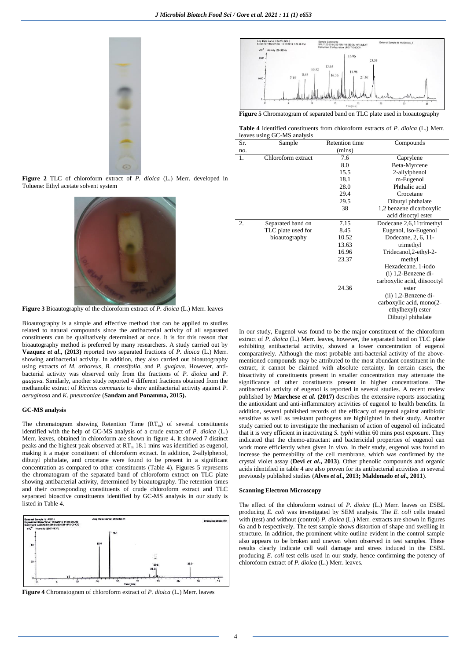





**Figure 3** Bioautography of the chloroform extract of *P. dioica* (L.) Merr. leaves

Bioautography is a simple and effective method that can be applied to studies related to natural compounds since the antibacterial activity of all separated constituents can be qualitatively determined at once. It is for this reason that bioautography method is preferred by many researchers. A study carried out by **Vazquez** *et al***., (2013)** reported two separated fractions of *P. dioica* (L.) Merr. showing antibacterial activity. In addition, they also carried out bioautography using extracts of *M. arboreus*, *B. crassifolia,* and *P. guajava.* However, antibacterial activity was observed only from the fractions of *P. dioica* and *P. guajava.* Similarly, another study reported 4 different fractions obtained from the methanolic extract of *Ricinus communis* to show antibacterial activity against *P. aeruginosa* and *K. pneumoniae* (**Sandam and Ponamma, 2015).**

# **GC-MS analysis**

The chromatogram showing Retention Time  $(RT_m)$  of several constituents identified with the help of GC-MS analysis of a crude extract of *P. dioica* (L.) Merr. leaves, obtained in chloroform are shown in figure 4. It showed 7 distinct peaks and the highest peak observed at  $RT_m$  18.1 mins was identified as eugenol, making it a major constituent of chloroform extract. In addition, 2-allylphenol, dibutyl phthalate, and crocetane were found to be present in a significant concentration as compared to other constituents (Table 4). Figures 5 represents the chromatogram of the separated band of chloroform extract on TLC plate showing antibacterial activity, determined by bioautography. The retention times and their corresponding constituents of crude chloroform extract and TLC separated bioactive constituents identified by GC-MS analysis in our study is listed in Table 4.



**Figure 4** Chromatogram of chloroform extract of *P. dioica* (L.) Merr. leaves



**Figure 5** Chromatogram of separated band on TLC plate used in bioautography

**Table 4** Identified constituents from chloroform extracts of *P. dioica* (L.) Merr. leaves using GC-MS analysis

| Sr. | Sample             | Retention time | Compounds                   |
|-----|--------------------|----------------|-----------------------------|
| no. |                    | (mins)         |                             |
| 1.  | Chloroform extract | 7.6            | Caprylene                   |
|     |                    | 8.0            | Beta-Myrcene                |
|     |                    | 15.5           | 2-allylphenol               |
|     |                    | 18.1           | m-Eugenol                   |
|     |                    | 28.0           | Phthalic acid               |
|     |                    | 29.4           | Crocetane                   |
|     |                    | 29.5           | Dibutyl phthalate           |
|     |                    | 38             | 1,2 benzene dicarboxylic    |
|     |                    |                | acid disoctyl ester         |
| 2.  | Separated band on  | 7.15           | Dodecane 2,6,11trimethyl    |
|     | TLC plate used for | 8.45           | Eugenol, Iso-Eugenol        |
|     | bioautography      | 10.52          | Dodecane, 2, 6, 11-         |
|     |                    | 13.63          | trimethyl                   |
|     |                    | 16.96          | Tridecanol, 2-ethyl-2-      |
|     |                    | 23.37          | methyl                      |
|     |                    |                | Hexadecane, 1-iodo          |
|     |                    |                | $(i)$ 1,2-Benzene di-       |
|     |                    |                | carboxylic acid, diisooctyl |
|     |                    | 24.36          | ester                       |
|     |                    |                | $(ii)$ 1,2-Benzene di-      |
|     |                    |                | carboxylic acid, mono(2-    |
|     |                    |                | ethylhexyl) ester           |
|     |                    |                | Dibutyl phthalate           |

In our study, Eugenol was found to be the major constituent of the chloroform extract of *P. dioica* (L.) Merr. leaves, however, the separated band on TLC plate exhibiting antibacterial activity, showed a lower concentration of eugenol comparatively. Although the most probable anti-bacterial activity of the abovementioned compounds may be attributed to the most abundant constituent in the extract, it cannot be claimed with absolute certainty. In certain cases, the bioactivity of constituents present in smaller concentration may attenuate the significance of other constituents present in higher concentrations. The antibacterial activity of eugenol is reported in several studies. A recent review published by **Marchese** *et al***. (2017)** describes the extensive reports associating the antioxidant and anti-inflammatory activities of eugenol to health benefits. In addition, several published records of the efficacy of eugenol against antibiotic sensitive as well as resistant pathogens are highlighted in their study. Another study carried out to investigate the mechanism of action of eugenol oil indicated that it is very efficient in inactivating *S. typhi* within 60 mins post exposure. They indicated that the chemo-attractant and bactericidal properties of eugenol can work more efficiently when given in vivo. In their study, eugenol was found to increase the permeability of the cell membrane, which was confirmed by the crystal violet assay (**Devi** *et al***., 2013**). Other phenolic compounds and organic acids identified in table 4 are also proven for its antibacterial activities in several previously published studies (**Alves** *et al***., 2013; Maldonado** *et al***., 2011**).

#### **Scanning Electron Microscopy**

The effect of the chloroform extract of *P. dioica* (L.) Merr. leaves on ESBL producing *E. coli* was investigated by SEM analysis. The *E. coli* cells treated with (test) and without (control) *P. dioica* (L.) Merr. extracts are shown in figures 6a and b respectively. The test sample shows distortion of shape and swelling in structure. In addition, the prominent white outline evident in the control sample also appears to be broken and uneven when observed in test samples. These results clearly indicate cell wall damage and stress induced in the ESBL producing *E. coli* test cells used in our study, hence confirming the potency of chloroform extract of *P. dioica* (L.) Merr. leaves.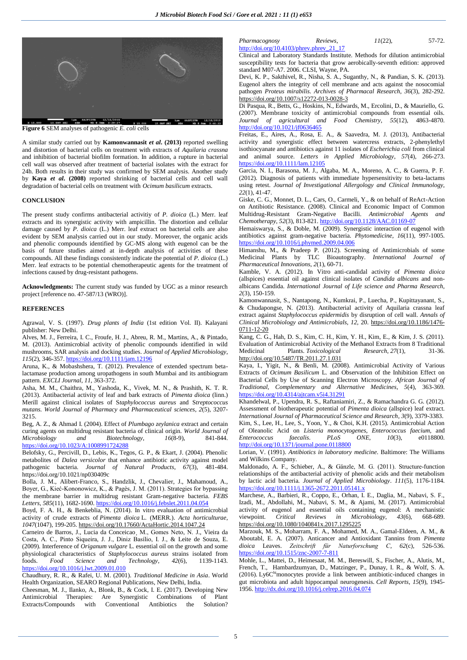

**Figure 6** SEM analyses of pathogenic *E. coli* cells

A similar study carried out by **Kamonwannasit** *et al***. (2013)** reported swelling and distortion of bacterial cells on treatment with extracts of *Aquilaria crassna* and inhibition of bacterial biofilm formation. In addition, a rupture in bacterial cell wall was observed after treatment of bacterial isolates with the extract for 24h. Both results in their study was confirmed by SEM analysis. Another study by **Kaya** *et al***. (2008)** reported shrinking of bacterial cells and cell wall degradation of bacterial cells on treatment with *Ocimum basilicum* extracts.

# **CONCLUSION**

The present study confirms antibacterial activitiy of *P. dioica* (L.) Merr. leaf extracts and its synergistic activity with ampicillin. The distortion and cellular damage caused by *P. dioica* (L.) Merr. leaf extract on bacterial cells are also evident by SEM analysis carried out in our study. Moreover, the organic acids and phenolic compounds identified by GC-MS along with eugenol can be the basis of future studies aimed at in-depth analysis of activities of these compounds. All these findings consistently indicate the potential of *P. dioica* (L.) Merr. leaf extracts to be potential chemotherapeutic agents for the treatment of infections caused by drug-resistant pathogens.

**Acknowledgments:** The current study was funded by UGC as a minor research project [reference no. 47-587/13 (WRO)].

# **REFERENCES**

Agrawal, V. S. (1997). *Drug plants of India* (1st edition Vol. II). Kalayani publisher: New Delhi.

Alves, M. J., Ferreira, I. C., Froufe, H. J., Abreu, R. M., Martins, A., & Pintado, M. (2013). Antimicrobial activity of phenolic compounds identified in wild mushrooms, SAR analysis and docking studies. *Journal of Applied Microbiology*, *115*(2), 346-357. <https://doi.org/10.1111/jam.12196>

Aruna, K., & Mobashshera, T. (2012). Prevalence of extended spectrum betalactamase production among uropathogens in south Mumbai and its antibiogram pattern. *EXCLI Journal*, *11*, 363-372.

Asha, M. M., Chaithra, M., Yashoda, K., Vivek, M. N., & Prashith, K. T. R. (2013). Antibacterial activity of leaf and bark extracts of *Pimenta dioica* (linn.) Merill against clinical isolates of S*taphylococcus aureus* and S*treptococcus mutans*. *World Journal of Pharmacy and Pharmaceutical sciences*, *2*(5), 3207- 3215.

Beg, A. Z., & Ahmad I. (2004). Effect of *Plumbago zeylanica* extract and certain curing agents on multidrug resistant bacteria of clinical origin. *World Journal of Microbiology* and *Biotechnology*, 16(8-9), <https://doi.org/10.1023/A:1008991724288>

Belofsky, G., Percivill, D., Lebis, K., Tegos, G. P., & Ekart, J. (2004). Phenolic metabolites of *Dalea versicolor* that enhance antibiotic activity against model pathogenic bacteria. *Journal of Natural Products*, *67*(3), 481-484. <https://doi.org/10.1021/np030409c>

Bolla, J. M., Alibert-Franco, S., Handzlik, J., Chevalier, J., Mahamoud, A., Boyer, G., Kieć-Kononowicz, K., & Pagès, J. M. (2011). Strategies for bypassing the membrane barrier in multidrug resistant Gram-negative bacteria. *FEBS Letters, 585*(11), 1682-1690[. https://doi.org/10.1016/j.febslet.2011.04.054](https://doi.org/10.1016/j.febslet.2011.04.054)

Boyd, F. A. H., & Benkeblia, N. (2014). In vitro evaluation of antimicrobial activity of crude extracts of *Pimenta dioica* L. (MERR.). *Acta horticulturae*, *1047*(1047), 199-205. <https://doi.org/10.17660/ActaHortic.2014.1047.24>

Carneiro de Barros, J., Lucia da Conceicao¸ M., Gomes Neto, N. J., Vieira da Costa, A. C., Pinto Siqueira, J. J., Diniz Basílio, I. J., & Leite de Souza, E. (2009). Interference of *Origanum vulgare* L. essential oil on the growth and some physiological characteristics of *Staphylococcus aureus* strains isolated from foods. *Food Science and Technology*, *42*(6), 1139-1143. <https://doi.org/10.1016/j.lwt.2009.01.010>

Chaudhury, R. R., & Rafei, U. M. (2001). *Traditional Medicine in Asia*. World Health Organization, SEARO Regional Publications, New Delhi, India.

Cheesman, M. J., Ilanko, A., Blonk, B., & Cock, I. E. (2017). Developing New Antimicrobial Therapies: Are Synergistic Combinations of Plant Extracts/Compounds with Conventional Antibiotics the Solution?

# *Pharmacognosy Reviews*, *11*(22), 57-72. [http://doi.org/10.4103/phrev.phrev\\_21\\_17](http://doi.org/10.4103/phrev.phrev_21_17)

Clinical and Laboratory Standards Institute. Methods for dilution antimicrobial susceptibility tests for bacteria that grow aerobically-seventh edition: approved standard M07-A7. 2006. CLSI, Wayne, PA.

Devi, K. P., Sakthivel, R., Nisha, S. A., Suganthy, N., & Pandian, S. K. (2013). Eugenol alters the integrity of cell membrane and acts against the nosocomial pathogen *Proteus mirabilis*. *Archives of Pharmacal Research*, *36*(3), 282-292. <https://doi.org/10.1007/s12272-013-0028-3>

Di Pasqua, R., Betts, G., Hoskins, N., Edwards, M., Ercolini, D., & Mauriello, G. (2007). Membrane toxicity of antimicrobial compounds from essential oils. *Journal of agricultural and Food Chemistry*, *55*(12), 4863-4870. <http://doi.org/10.1021/jf0636465>

Freitas, E., Aires, A., Rosa, E. A., & Saavedra, M. J. (2013), Antibacterial activity and synergistic effect between watercress extracts, 2-phenylethyl isothiocyanate and antibiotics against 11 isolates of *Escherichia coli* from clinical and animal source. *Letters in Applied Microbiology*, *57*(4), 266-273. <https://doi.org/10.1111/lam.12105>

Garcia, N. I., Barasona, M. J., Algaba, M. A., Moreno, A. C., & Guerra, P. F. (2012). Diagnosis of patients with immediate hypersensitivity to beta-lactams using retest. *Journal of Investigational Allergology and Clinical Immunology*, *22*(1), 41-47.

Giske, C. G., Monnet, D. L., Cars, O., Carmeli, Y., & on behalf of ReAct-Action on Antibiotic Resistance. (2008). Clinical and Economic Impact of Common Multidrug-Resistant Gram-Negative Bacilli. *Antimicrobial Agents and Chemotherapy*, *52*(3), 813-821[. http://doi.org/10.1128/AAC.01169-07](http://doi.org/10.1128/AAC.01169-07)

Hemaiswarya, S., & Doble, M. (2009). Synergistic interaction of eugenol with antibiotics against gram-negative bacteria. *Phytomedicine, 16*(11), 997-1005. <https://doi.org/10.1016/j.phymed.2009.04.006>

Himanshu, M., & Pradeep P. (2012). Screening of Antimicrobials of some Medicinal Plants by TLC Bioautography. *International Journal of Pharmaceutical Innovations*, *2*(1), 60-71.

Kamble, V. A. (2012). In Vitro anti-candidal activity of *Pimenta dioica* (allspices) essential oil against clinical isolates of *Candida albicans* and nonalbicans Candida. *International Journal of Life science and Pharma Research*, *2*(3), 150-159.

Kamonwannasit, S., Nantapong, N., Kumkrai, P., Luecha, P., Kupittayanant, S., & Chudapongse, N. (2013). Antibacterial activity of Aquilaria crassna leaf extract against *Staphylococcus epidermidis* by disruption of cell wall. *Annals of Clinical Microbiology and Antimicrobials*, *12*, 20. [https://doi.org/10.1186/1476-](https://doi.org/10.1186/1476-0711-12-20) [0711-12-20](https://doi.org/10.1186/1476-0711-12-20)

Kang, C. G., Hah, D. S., Kim, C. H., Kim, Y. H., Kim, E., & Kim, J. S. (2011). Evaluation of Antimicrobial Activity of the Methanol Extracts from 8 Traditional Medicinal Plants. *Toxicological Research*, *27*(1), 31-36. <http://doi.org/10.5487/TR.2011.27.1.031>

Kaya, I., Yigit, N., & Benli, M. (2008). Antimicrobial Activity of Various Extracts of *Ocimum Basilicum* L. and Observation of the Inhibition Effect on Bacterial Cells by Use of Scanning Electron Microscopy. *African Journal of Traditional, Complementary and Alternative Medicines*, *5*(4), 363-369. <https://doi.org/10.4314/ajtcam.v5i4.31291>

Khandelwal, P., Upendra, R. S., Raftaniamiri, Z., & Ramachandra G. G. (2012). Assessment of biotherapeutic potential of *Pimenta dioica* (allspice) leaf extract. *International Journal of Pharmaceutical Science and Research*, *3*(9), 3379-3383. Kim, S., Lee, H., Lee, S., Yoon, Y., & Choi, K.H. (2015). Antimicrobial Action of Oleanolic Acid on *Listeria monocytogenes*, *Enterococcus faecium*, and *Enterococcus faecalis*. *PLoS ONE*, *10*(3), <http://doi.org/10.1371/journal.pone.0118800>

Lorian, V. (1991). *Antibiotics in laboratory medicine*. Baltimore: The Williams and Wilkins Company.

Maldonado, A. F., Schieber, A., & Gänzle, M. G. (2011). Structure-function relationships of the antibacterial activity of phenolic acids and their metabolism by lactic acid bacteria. *Journal of Applied Microbiology*. *111*(5), 1176-1184. <https://doi.org/10.1111/j.1365-2672.2011.05141.x>

Marchese, A., Barbieri, R., Coppo, E., Orhan, I. E., Daglia, M., Nabavi, S. F., Izadi, M., Abdollahi, M., Nabavi, S. M., & Ajami, M. (2017). Antimicrobial activity of eugenol and essential oils containing eugenol: A mechanistic viewpoint. *Critical Reviews in Microbiology*, *43*(6), 668-689. <https://doi.org/10.1080/1040841x.2017.1295225>

Marzouk, M. S., Moharram, F. A., Mohamed, M. A., Gamal-Eldeen, A. M., & Aboutabl, E. A. (2007). Anticancer and Antioxidant Tannins from *Pimenta dioica* Leaves. *Zeitschrift für Naturforschung C*, *62*(c), 526-536. <https://doi.org/10.1515/znc-2007-7-811>

Mohle, L., Mattei, D., Heimesaat, M. M., Bereswill, S., Fischer, A., Alutis, M., French, T., Hambardzumyan, D., Matzinger, P., Dunay, I. R., & Wolf, S. A.  $(2016)$ . Ly6C<sup>hi</sup>monocytes provide a link between antibiotic-induced changes in gut microbiota and adult hippocampal neurogenesis. *Cell Reports*, *15*(9), 1945- 1956. <http://dx.doi.org/10.1016/j.celrep.2016.04.074>